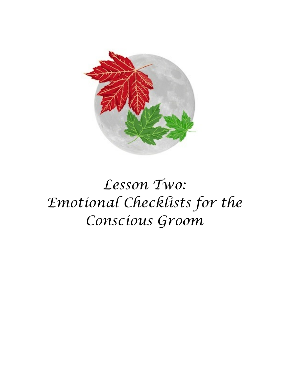

# *Lesson Two: Emotional Checklists for the Conscious Groom*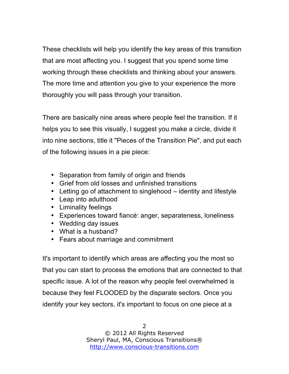These checklists will help you identify the key areas of this transition that are most affecting you. I suggest that you spend some time working through these checklists and thinking about your answers. The more time and attention you give to your experience the more thoroughly you will pass through your transition.

There are basically nine areas where people feel the transition. If it helps you to see this visually, I suggest you make a circle, divide it into nine sections, title it "Pieces of the Transition Pie", and put each of the following issues in a pie piece:

- Separation from family of origin and friends
- Grief from old losses and unfinished transitions
- Letting go of attachment to singlehood identity and lifestyle
- Leap into adulthood
- Liminality feelings
- Experiences toward fiancé: anger, separateness, loneliness
- Wedding day issues
- What is a husband?
- Fears about marriage and commitment

It's important to identify which areas are affecting you the most so that you can start to process the emotions that are connected to that specific issue. A lot of the reason why people feel overwhelmed is because they feel FLOODED by the disparate sectors. Once you identify your key sectors, it's important to focus on one piece at a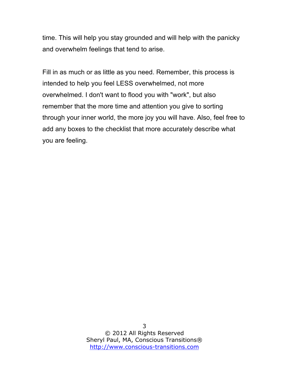time. This will help you stay grounded and will help with the panicky and overwhelm feelings that tend to arise.

Fill in as much or as little as you need. Remember, this process is intended to help you feel LESS overwhelmed, not more overwhelmed. I don't want to flood you with "work", but also remember that the more time and attention you give to sorting through your inner world, the more joy you will have. Also, feel free to add any boxes to the checklist that more accurately describe what you are feeling.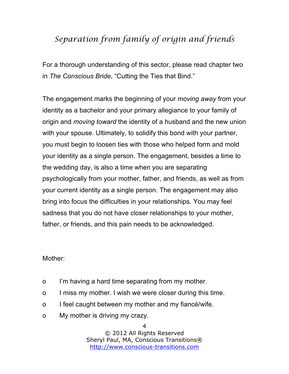#### *Separation from family of origin and friends*

For a thorough understanding of this sector, please read chapter two in *The Conscious Bride*, "Cutting the Ties that Bind."

The engagement marks the beginning of your *moving away* from your identity as a bachelor and your primary allegiance to your family of origin and *moving toward* the identity of a husband and the new union with your spouse. Ultimately, to solidify this bond with your partner, you must begin to loosen ties with those who helped form and mold your identity as a single person. The engagement, besides a time to the wedding day, is also a time when you are separating psychologically from your mother, father, and friends, as well as from your current identity as a single person. The engagement may also bring into focus the difficulties in your relationships. You may feel sadness that you do not have closer relationships to your mother, father, or friends, and this pain needs to be acknowledged.

Mother:

- o I'm having a hard time separating from my mother.
- o I miss my mother. I wish we were closer during this time.
- o I feel caught between my mother and my fiancé/wife.
- o My mother is driving my crazy.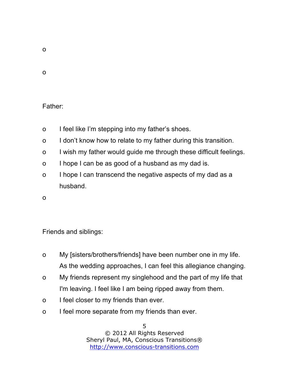o

o

Father:

- o I feel like I'm stepping into my father's shoes.
- o I don't know how to relate to my father during this transition.
- o I wish my father would guide me through these difficult feelings.
- o I hope I can be as good of a husband as my dad is.
- o I hope I can transcend the negative aspects of my dad as a husband.
- o

Friends and siblings:

- o My [sisters/brothers/friends] have been number one in my life. As the wedding approaches, I can feel this allegiance changing.
- o My friends represent my singlehood and the part of my life that I'm leaving. I feel like I am being ripped away from them.
- o I feel closer to my friends than ever.
- o I feel more separate from my friends than ever.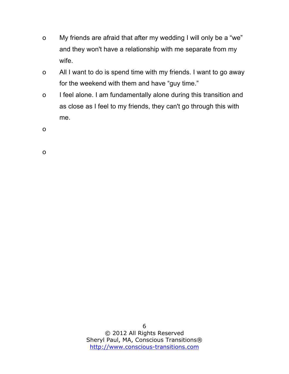- o My friends are afraid that after my wedding I will only be a "we" and they won't have a relationship with me separate from my wife.
- o All I want to do is spend time with my friends. I want to go away for the weekend with them and have "guy time."
- o I feel alone. I am fundamentally alone during this transition and as close as I feel to my friends, they can't go through this with me.

o

o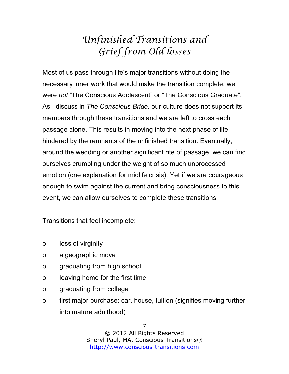# *Unfinished Transitions and Grief from Old losses*

Most of us pass through life's major transitions without doing the necessary inner work that would make the transition complete: we were *not* "The Conscious Adolescent" or "The Conscious Graduate". As I discuss in *The Conscious Bride,* our culture does not support its members through these transitions and we are left to cross each passage alone. This results in moving into the next phase of life hindered by the remnants of the unfinished transition. Eventually, around the wedding or another significant rite of passage, we can find ourselves crumbling under the weight of so much unprocessed emotion (one explanation for midlife crisis). Yet if we are courageous enough to swim against the current and bring consciousness to this event, we can allow ourselves to complete these transitions.

Transitions that feel incomplete:

- o loss of virginity
- o a geographic move
- o graduating from high school
- o leaving home for the first time
- o graduating from college
- o first major purchase: car, house, tuition (signifies moving further into mature adulthood)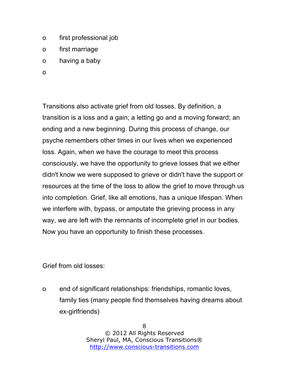- o first professional job
- o first marriage
- o having a baby
- o

Transitions also activate grief from old losses. By definition, a transition is a loss and a gain; a letting go and a moving forward; an ending and a new beginning. During this process of change, our psyche remembers other times in our lives when we experienced loss. Again, when we have the courage to meet this process consciously, we have the opportunity to grieve losses that we either didn't know we were supposed to grieve or didn't have the support or resources at the time of the loss to allow the grief to move through us into completion. Grief, like all emotions, has a unique lifespan. When we interfere with, bypass, or amputate the grieving process in any way, we are left with the remnants of incomplete grief in our bodies. Now you have an opportunity to finish these processes.

Grief from old losses:

o end of significant relationships: friendships, romantic loves, family ties (many people find themselves having dreams about ex-girlfriends)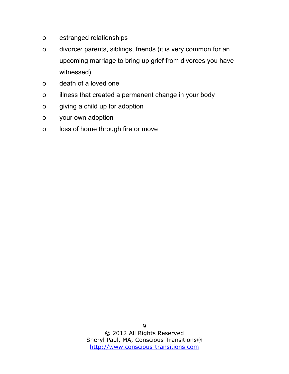- o estranged relationships
- o divorce: parents, siblings, friends (it is very common for an upcoming marriage to bring up grief from divorces you have witnessed)
- o death of a loved one
- o illness that created a permanent change in your body
- o giving a child up for adoption
- o your own adoption
- o loss of home through fire or move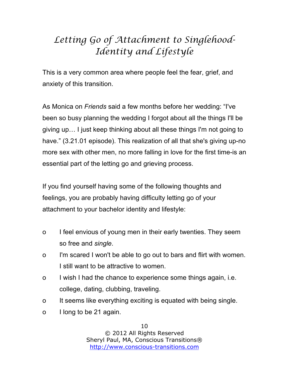# *Letting Go of Attachment to Singlehood-Identity and Lifestyle*

This is a very common area where people feel the fear, grief, and anxiety of this transition.

As Monica on *Friends* said a few months before her wedding: "I've been so busy planning the wedding I forgot about all the things I'll be giving up… I just keep thinking about all these things I'm not going to have." (3.21.01 episode). This realization of all that she's giving up-no more sex with other men, no more falling in love for the first time-is an essential part of the letting go and grieving process.

If you find yourself having some of the following thoughts and feelings, you are probably having difficulty letting go of your attachment to your bachelor identity and lifestyle:

- o I feel envious of young men in their early twenties. They seem so free and *single*.
- o I'm scared I won't be able to go out to bars and flirt with women. I still want to be attractive to women.
- o I wish I had the chance to experience some things again, i.e. college, dating, clubbing, traveling.
- o It seems like everything exciting is equated with being single.
- o I long to be 21 again.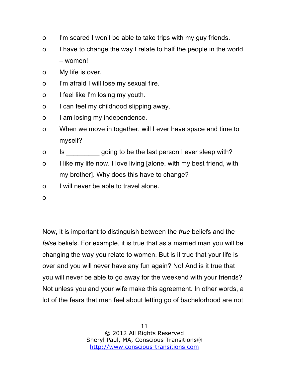- o I'm scared I won't be able to take trips with my guy friends.
- o I have to change the way I relate to half the people in the world – women!
- o My life is over.
- o I'm afraid I will lose my sexual fire.
- o I feel like I'm losing my youth.
- o I can feel my childhood slipping away.
- o I am losing my independence.
- o When we move in together, will I ever have space and time to myself?
- o Is going to be the last person I ever sleep with?
- o I like my life now. I love living [alone, with my best friend, with my brother]. Why does this have to change?
- o I will never be able to travel alone.
- o

Now, it is important to distinguish between the *true* beliefs and the *false* beliefs. For example, it is true that as a married man you will be changing the way you relate to women. But is it true that your life is over and you will never have any fun again? No! And is it true that you will never be able to go away for the weekend with your friends? Not unless you and your wife make this agreement. In other words, a lot of the fears that men feel about letting go of bachelorhood are not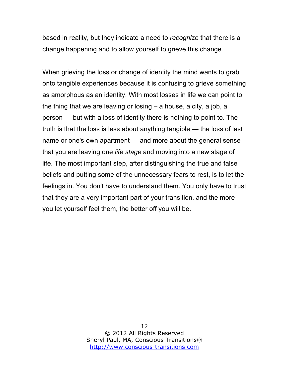based in reality, but they indicate a need to *recognize* that there is a change happening and to allow yourself to grieve this change.

When grieving the loss or change of identity the mind wants to grab onto tangible experiences because it is confusing to grieve something as amorphous as an identity. With most losses in life we can point to the thing that we are leaving or losing – a house, a city, a job, a person — but with a loss of identity there is nothing to point to. The truth is that the loss is less about anything tangible — the loss of last name or one's own apartment — and more about the general sense that you are leaving one *life stage* and moving into a new stage of life. The most important step, after distinguishing the true and false beliefs and putting some of the unnecessary fears to rest, is to let the feelings in. You don't have to understand them. You only have to trust that they are a very important part of your transition, and the more you let yourself feel them, the better off you will be.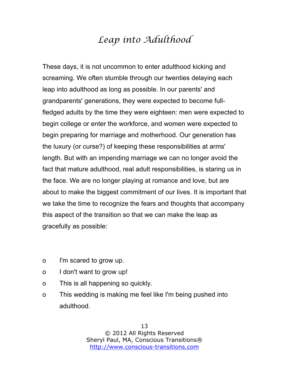### *Leap into Adulthood*

These days, it is not uncommon to enter adulthood kicking and screaming. We often stumble through our twenties delaying each leap into adulthood as long as possible. In our parents' and grandparents' generations, they were expected to become fullfledged adults by the time they were eighteen: men were expected to begin college or enter the workforce, and women were expected to begin preparing for marriage and motherhood. Our generation has the luxury (or curse?) of keeping these responsibilities at arms' length. But with an impending marriage we can no longer avoid the fact that mature adulthood, real adult responsibilities, is staring us in the face. We are no longer playing at romance and love, but are about to make the biggest commitment of our lives. It is important that we take the time to recognize the fears and thoughts that accompany this aspect of the transition so that we can make the leap as gracefully as possible:

- o I'm scared to grow up.
- o I don't want to grow up!
- o This is all happening so quickly.
- o This wedding is making me feel like I'm being pushed into adulthood.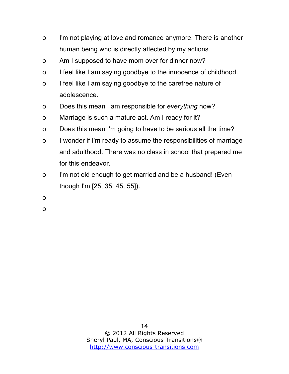- o I'm not playing at love and romance anymore. There is another human being who is directly affected by my actions.
- o Am I supposed to have mom over for dinner now?
- o I feel like I am saying goodbye to the innocence of childhood.
- o I feel like I am saying goodbye to the carefree nature of adolescence.
- o Does this mean I am responsible for *everything* now?
- o Marriage is such a mature act. Am I ready for it?
- o Does this mean I'm going to have to be serious all the time?
- o I wonder if I'm ready to assume the responsibilities of marriage and adulthood. There was no class in school that prepared me for this endeavor.
- o I'm not old enough to get married and be a husband! (Even though I'm [25, 35, 45, 55]).
- o

o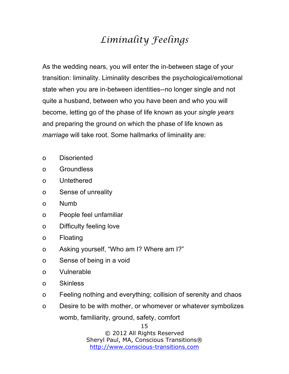## *Liminality Feelings*

As the wedding nears, you will enter the in-between stage of your transition: liminality. Liminality describes the psychological/emotional state when you are in-between identities--no longer single and not quite a husband, between who you have been and who you will become, letting go of the phase of life known as your *single years* and preparing the ground on which the phase of life known as *marriage* will take root. Some hallmarks of liminality are:

- o Disoriented
- o Groundless
- o Untethered
- o Sense of unreality
- o Numb
- o People feel unfamiliar
- o Difficulty feeling love
- o Floating
- o Asking yourself, "Who am I? Where am I?"
- o Sense of being in a void
- o Vulnerable
- o Skinless
- o Feeling nothing and everything; collision of serenity and chaos
- o Desire to be with mother, or whomever or whatever symbolizes womb, familiarity, ground, safety, comfort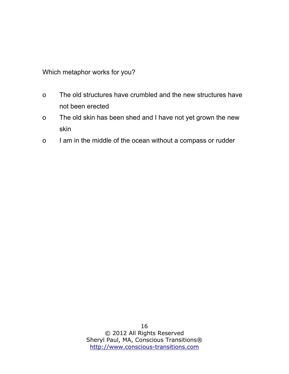Which metaphor works for you?

- o The old structures have crumbled and the new structures have not been erected
- o The old skin has been shed and I have not yet grown the new skin
- o I am in the middle of the ocean without a compass or rudder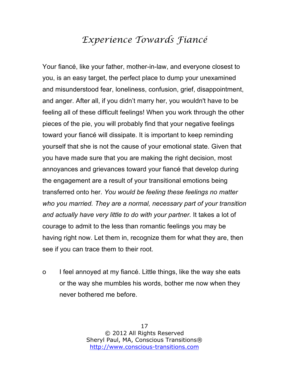#### *Experience Towards Fiancé*

Your fiancé, like your father, mother-in-law, and everyone closest to you, is an easy target, the perfect place to dump your unexamined and misunderstood fear, loneliness, confusion, grief, disappointment, and anger. After all, if you didn't marry her, you wouldn't have to be feeling all of these difficult feelings! When you work through the other pieces of the pie, you will probably find that your negative feelings toward your fiancé will dissipate. It is important to keep reminding yourself that she is not the cause of your emotional state. Given that you have made sure that you are making the right decision, most annoyances and grievances toward your fiancé that develop during the engagement are a result of your transitional emotions being transferred onto her. *You would be feeling these feelings no matter who you married. They are a normal, necessary part of your transition and actually have very little to do with your partner.* It takes a lot of courage to admit to the less than romantic feelings you may be having right now. Let them in, recognize them for what they are, then see if you can trace them to their root.

o I feel annoyed at my fiancé. Little things, like the way she eats or the way she mumbles his words, bother me now when they never bothered me before.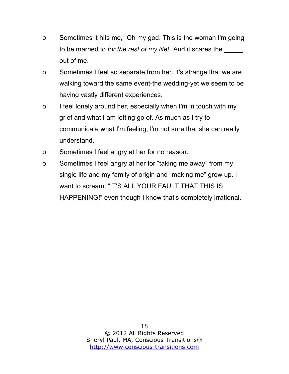- o Sometimes it hits me, "Oh my god. This is the woman I'm going to be married to *for the rest of my life*!" And it scares the \_\_\_\_\_ out of me.
- o Sometimes I feel so separate from her. It's strange that we are walking toward the same event-the wedding-yet we seem to be having vastly different experiences.
- o I feel lonely around her, especially when I'm in touch with my grief and what I am letting go of. As much as I try to communicate what I'm feeling, I'm not sure that she can really understand.
- o Sometimes I feel angry at her for no reason.
- o Sometimes I feel angry at her for "taking me away" from my single life and my family of origin and "making me" grow up. I want to scream, "IT'S ALL YOUR FAULT THAT THIS IS HAPPENING!" even though I know that's completely irrational.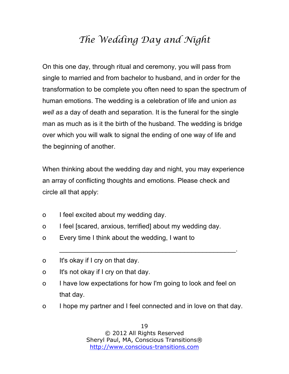## *The Wedding Day and Night*

On this one day, through ritual and ceremony, you will pass from single to married and from bachelor to husband, and in order for the transformation to be complete you often need to span the spectrum of human emotions. The wedding is a celebration of life and union *as well as* a day of death and separation. It is the funeral for the single man as much as is it the birth of the husband. The wedding is bridge over which you will walk to signal the ending of one way of life and the beginning of another.

When thinking about the wedding day and night, you may experience an array of conflicting thoughts and emotions. Please check and circle all that apply:

- o I feel excited about my wedding day.
- o I feel [scared, anxious, terrified] about my wedding day.
- o Every time I think about the wedding, I want to
- o It's okay if I cry on that day.
- o It's not okay if I cry on that day.
- o I have low expectations for how I'm going to look and feel on that day.

 $\mathcal{L}_\text{max}$  , and the contract of the contract of the contract of the contract of the contract of the contract of the contract of the contract of the contract of the contract of the contract of the contract of the contr

o I hope my partner and I feel connected and in love on that day.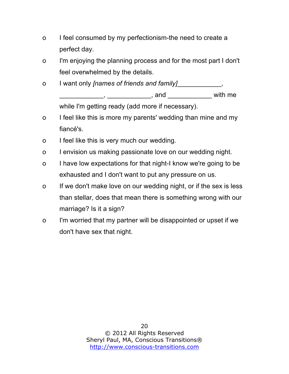- o I feel consumed by my perfectionism-the need to create a perfect day.
- o I'm enjoying the planning process and for the most part I don't feel overwhelmed by the details.
- o I want only *[names of friends and family]*\_\_\_\_\_\_\_\_\_\_\_\_, \_\_\_\_\_\_\_\_\_\_\_\_\_\_\_\_, \_\_\_\_\_\_\_\_\_\_\_\_\_\_\_, and \_\_\_\_\_\_\_\_\_\_\_\_\_\_\_\_\_ with me

while I'm getting ready (add more if necessary).

- o I feel like this is more my parents' wedding than mine and my fiancé's.
- o I feel like this is very much our wedding.
- o I envision us making passionate love on our wedding night.
- o I have low expectations for that night-I know we're going to be exhausted and I don't want to put any pressure on us.
- o If we don't make love on our wedding night, or if the sex is less than stellar, does that mean there is something wrong with our marriage? Is it a sign?
- o I'm worried that my partner will be disappointed or upset if we don't have sex that night.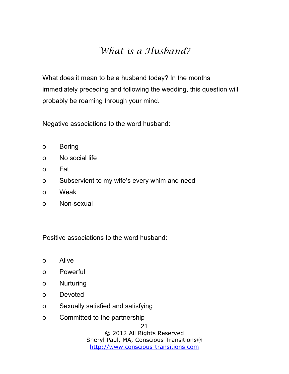#### *What is a Husband?*

What does it mean to be a husband today? In the months immediately preceding and following the wedding, this question will probably be roaming through your mind.

Negative associations to the word husband:

- o Boring
- o No social life
- o Fat
- o Subservient to my wife's every whim and need
- o Weak
- o Non-sexual

Positive associations to the word husband:

- o Alive
- o Powerful
- o Nurturing
- o Devoted
- o Sexually satisfied and satisfying
- o Committed to the partnership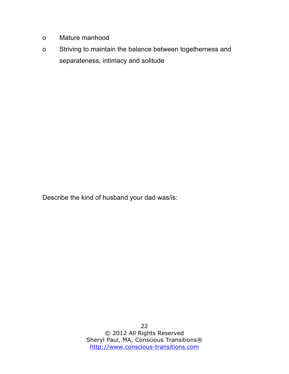- o Mature manhood
- o Striving to maintain the balance between togetherness and separateness, intimacy and solitude

Describe the kind of husband your dad was/is: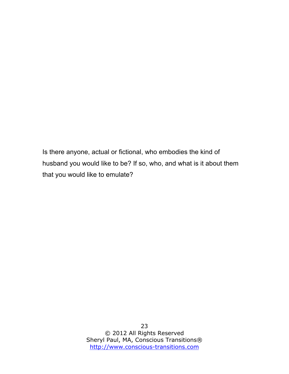Is there anyone, actual or fictional, who embodies the kind of husband you would like to be? If so, who, and what is it about them that you would like to emulate?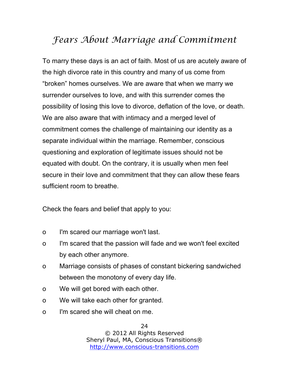### *Fears About Marriage and Commitment*

To marry these days is an act of faith. Most of us are acutely aware of the high divorce rate in this country and many of us come from "broken" homes ourselves. We are aware that when we marry we surrender ourselves to love, and with this surrender comes the possibility of losing this love to divorce, deflation of the love, or death. We are also aware that with intimacy and a merged level of commitment comes the challenge of maintaining our identity as a separate individual within the marriage. Remember, conscious questioning and exploration of legitimate issues should not be equated with doubt. On the contrary, it is usually when men feel secure in their love and commitment that they can allow these fears sufficient room to breathe.

Check the fears and belief that apply to you:

- o I'm scared our marriage won't last.
- o I'm scared that the passion will fade and we won't feel excited by each other anymore.
- o Marriage consists of phases of constant bickering sandwiched between the monotony of every day life.
- o We will get bored with each other.
- o We will take each other for granted.
- o I'm scared she will cheat on me.